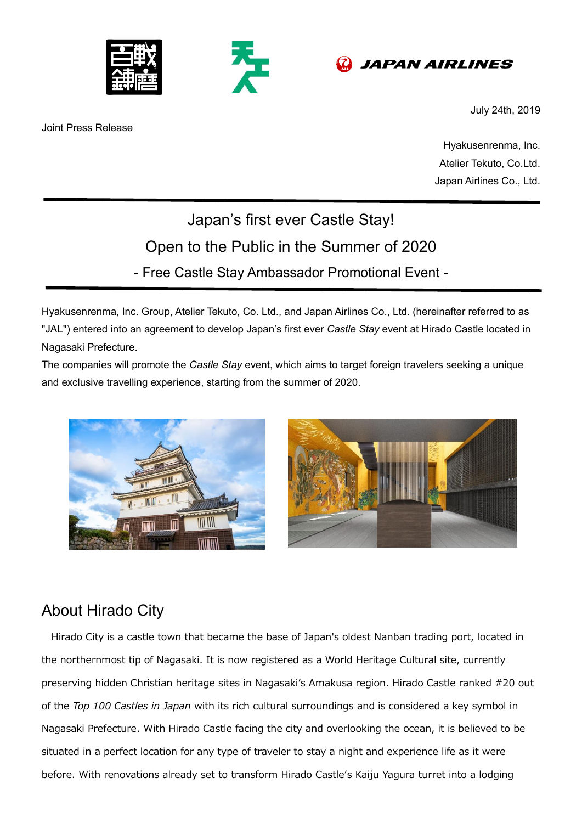





July 24th, 2019

Hyakusenrenma, Inc. Atelier Tekuto, Co.Ltd. Japan Airlines Co., Ltd.

# Japan's first ever Castle Stay! Open to the Public in the Summer of 2020 - Free Castle Stay Ambassador Promotional Event -

Hyakusenrenma, Inc. Group, Atelier Tekuto, Co. Ltd., and Japan Airlines Co., Ltd. (hereinafter referred to as "JAL") entered into an agreement to develop Japan's first ever *Castle Stay* event at Hirado Castle located in Nagasaki Prefecture.

The companies will promote the *Castle Stay* event, which aims to target foreign travelers seeking a unique and exclusive travelling experience, starting from the summer of 2020.



### About Hirado City

Hirado City is a castle town that became the base of Japan's oldest Nanban trading port, located in the northernmost tip of Nagasaki. It is now registered as a World Heritage Cultural site, currently preserving hidden Christian heritage sites in Nagasaki's Amakusa region. Hirado Castle ranked #20 out of the *Top 100 Castles in Japan* with its rich cultural surroundings and is considered a key symbol in Nagasaki Prefecture. With Hirado Castle facing the city and overlooking the ocean, it is believed to be situated in a perfect location for any type of traveler to stay a night and experience life as it were before. With renovations already set to transform Hirado Castle's Kaiju Yagura turret into a lodging

Joint Press Release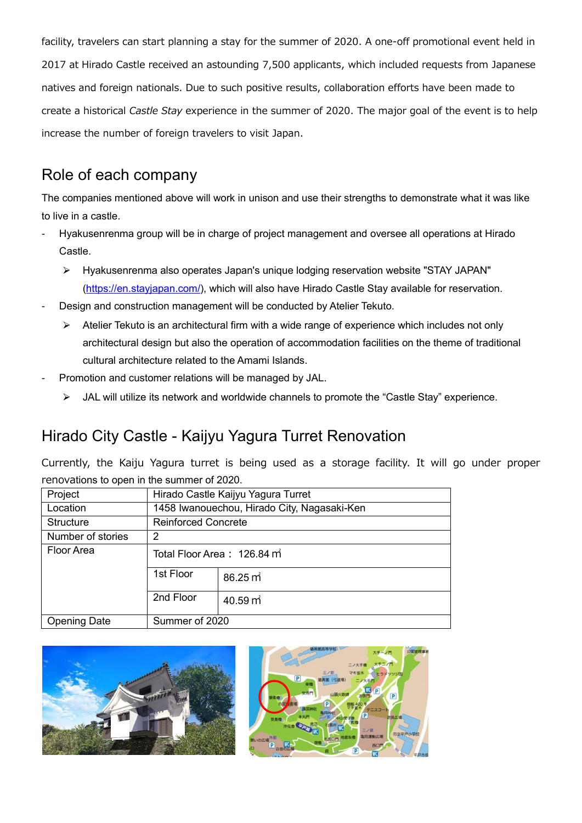facility, travelers can start planning a stay for the summer of 2020. A one-off promotional event held in 2017 at Hirado Castle received an astounding 7,500 applicants, which included requests from Japanese natives and foreign nationals. Due to such positive results, collaboration efforts have been made to create a historical *Castle Stay* experience in the summer of 2020. The major goal of the event is to help increase the number of foreign travelers to visit Japan.

## Role of each company

The companies mentioned above will work in unison and use their strengths to demonstrate what it was like to live in a castle.

- Hyakusenrenma group will be in charge of project management and oversee all operations at Hirado Castle.
	- ⮚ Hyakusenrenma also operates Japan's unique lodging reservation website "STAY JAPAN" [\(https://en.stayjapan.com/\)](https://en.stayjapan.com/), which will also have Hirado Castle Stay available for reservation.
- Design and construction management will be conducted by Atelier Tekuto.
	- $\triangleright$  Atelier Tekuto is an architectural firm with a wide range of experience which includes not only architectural design but also the operation of accommodation facilities on the theme of traditional cultural architecture related to the Amami Islands.
- Promotion and customer relations will be managed by JAL.
	- $\triangleright$  JAL will utilize its network and worldwide channels to promote the "Castle Stay" experience.

# Hirado City Castle - Kaijyu Yagura Turret Renovation

Currently, the Kaiju Yagura turret is being used as a storage facility. It will go under proper renovations to open in the summer of 2020.

| Project             | Hirado Castle Kaijyu Yagura Turret          |         |
|---------------------|---------------------------------------------|---------|
| Location            | 1458 Iwanouechou, Hirado City, Nagasaki-Ken |         |
| Structure           | <b>Reinforced Concrete</b>                  |         |
| Number of stories   | 2                                           |         |
| Floor Area          | Total Floor Area: 126.84 m                  |         |
|                     | 1st Floor                                   | 86.25 m |
|                     | 2nd Floor                                   | 40.59 m |
| <b>Opening Date</b> | Summer of 2020                              |         |